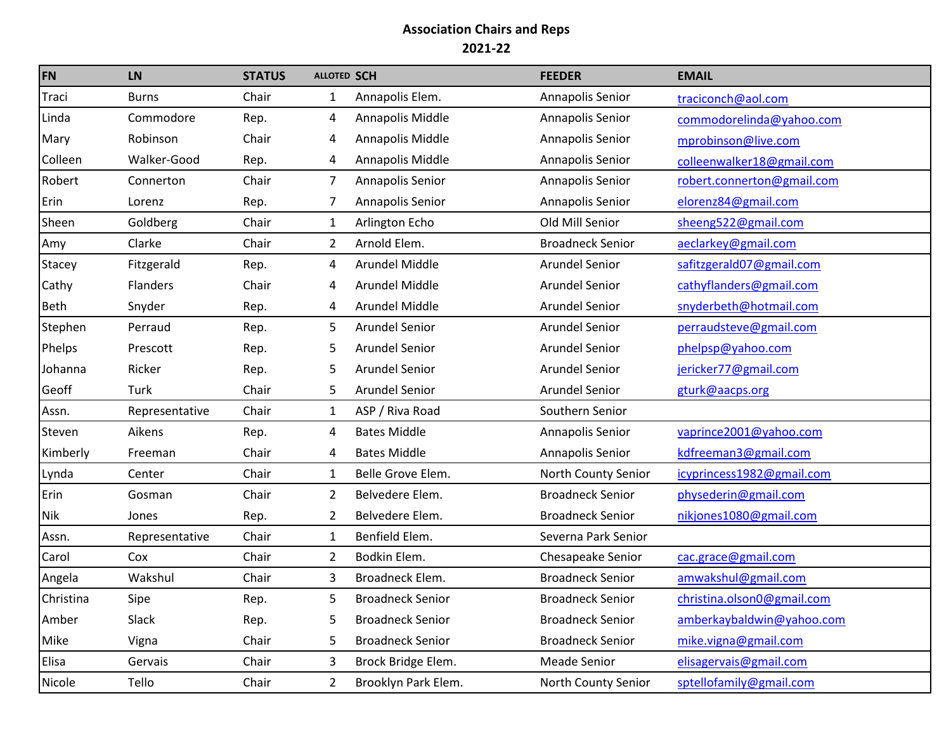| <b>FN</b>     | <b>LN</b>      | <b>STATUS</b> | <b>ALLOTED SCH</b> |                         | <b>FEEDER</b>           | <b>EMAIL</b>               |
|---------------|----------------|---------------|--------------------|-------------------------|-------------------------|----------------------------|
| Traci         | <b>Burns</b>   | Chair         | $\mathbf{1}$       | Annapolis Elem.         | Annapolis Senior        | traciconch@aol.com         |
| Linda         | Commodore      | Rep.          | 4                  | Annapolis Middle        | Annapolis Senior        | commodorelinda@yahoo.com   |
| Mary          | Robinson       | Chair         | 4                  | Annapolis Middle        | Annapolis Senior        | mprobinson@live.com        |
| Colleen       | Walker-Good    | Rep.          | 4                  | Annapolis Middle        | Annapolis Senior        | colleenwalker18@gmail.com  |
| Robert        | Connerton      | Chair         | 7                  | Annapolis Senior        | Annapolis Senior        | robert.connerton@gmail.com |
| Erin          | Lorenz         | Rep.          | 7                  | Annapolis Senior        | Annapolis Senior        | elorenz84@gmail.com        |
| Sheen         | Goldberg       | Chair         | 1                  | Arlington Echo          | Old Mill Senior         | sheeng522@gmail.com        |
| Amy           | Clarke         | Chair         | 2                  | Arnold Elem.            | <b>Broadneck Senior</b> | aeclarkey@gmail.com        |
| <b>Stacey</b> | Fitzgerald     | Rep.          | 4                  | Arundel Middle          | <b>Arundel Senior</b>   | safitzgerald07@gmail.com   |
| Cathy         | Flanders       | Chair         | 4                  | Arundel Middle          | <b>Arundel Senior</b>   | cathyflanders@gmail.com    |
| <b>Beth</b>   | Snyder         | Rep.          | 4                  | Arundel Middle          | <b>Arundel Senior</b>   | snyderbeth@hotmail.com     |
| Stephen       | Perraud        | Rep.          | 5                  | <b>Arundel Senior</b>   | <b>Arundel Senior</b>   | perraudsteve@gmail.com     |
| Phelps        | Prescott       | Rep.          | 5                  | <b>Arundel Senior</b>   | <b>Arundel Senior</b>   | phelpsp@yahoo.com          |
| Johanna       | Ricker         | Rep.          | 5                  | <b>Arundel Senior</b>   | <b>Arundel Senior</b>   | jericker77@gmail.com       |
| Geoff         | Turk           | Chair         | 5.                 | <b>Arundel Senior</b>   | <b>Arundel Senior</b>   | gturk@aacps.org            |
| Assn.         | Representative | Chair         | $\mathbf{1}$       | ASP / Riva Road         | Southern Senior         |                            |
| Steven        | Aikens         | Rep.          | 4                  | <b>Bates Middle</b>     | Annapolis Senior        | vaprince2001@yahoo.com     |
| Kimberly      | Freeman        | Chair         | 4                  | <b>Bates Middle</b>     | Annapolis Senior        | kdfreeman3@gmail.com       |
| Lynda         | Center         | Chair         | $\mathbf{1}$       | Belle Grove Elem.       | North County Senior     | icyprincess1982@gmail.com  |
| Erin          | Gosman         | Chair         | $\overline{2}$     | Belvedere Elem.         | <b>Broadneck Senior</b> | physederin@gmail.com       |
| <b>Nik</b>    | Jones          | Rep.          | 2                  | Belvedere Elem.         | <b>Broadneck Senior</b> | nikjones1080@gmail.com     |
| Assn.         | Representative | Chair         | 1                  | Benfield Elem.          | Severna Park Senior     |                            |
| Carol         | Cox            | Chair         | $\overline{2}$     | Bodkin Elem.            | Chesapeake Senior       | cac.grace@gmail.com        |
| Angela        | Wakshul        | Chair         | 3                  | Broadneck Elem.         | <b>Broadneck Senior</b> | amwakshul@gmail.com        |
| Christina     | Sipe           | Rep.          | 5                  | <b>Broadneck Senior</b> | <b>Broadneck Senior</b> | christina.olson0@gmail.com |
| Amber         | Slack          | Rep.          | 5                  | <b>Broadneck Senior</b> | <b>Broadneck Senior</b> | amberkaybaldwin@yahoo.com  |
| Mike          | Vigna          | Chair         | 5                  | <b>Broadneck Senior</b> | <b>Broadneck Senior</b> | mike.vigna@gmail.com       |
| Elisa         | Gervais        | Chair         | 3                  | Brock Bridge Elem.      | <b>Meade Senior</b>     | elisagervais@gmail.com     |
| Nicole        | Tello          | Chair         | $\overline{2}$     | Brooklyn Park Elem.     | North County Senior     | sptellofamily@gmail.com    |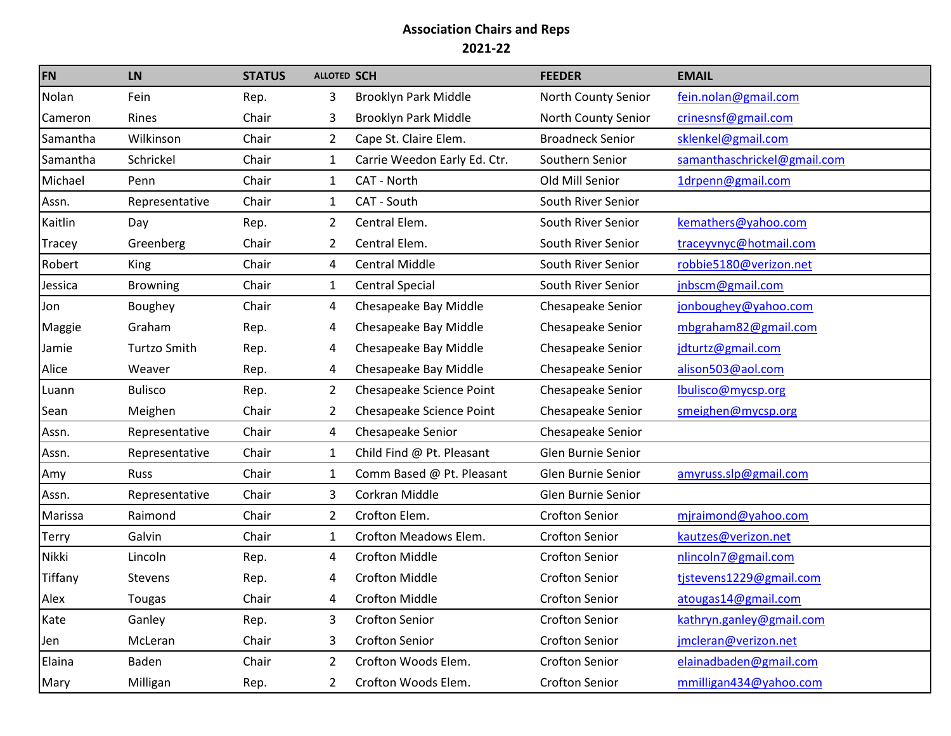| FN       | <b>LN</b>           | <b>STATUS</b> | <b>ALLOTED SCH</b> |                              | <b>FEEDER</b>           | <b>EMAIL</b>                |
|----------|---------------------|---------------|--------------------|------------------------------|-------------------------|-----------------------------|
| Nolan    | Fein                | Rep.          | 3                  | Brooklyn Park Middle         | North County Senior     | fein.nolan@gmail.com        |
| Cameron  | Rines               | Chair         | 3                  | Brooklyn Park Middle         | North County Senior     | crinesnsf@gmail.com         |
| Samantha | Wilkinson           | Chair         | $\overline{2}$     | Cape St. Claire Elem.        | <b>Broadneck Senior</b> | sklenkel@gmail.com          |
| Samantha | Schrickel           | Chair         | $\mathbf{1}$       | Carrie Weedon Early Ed. Ctr. | Southern Senior         | samanthaschrickel@gmail.com |
| Michael  | Penn                | Chair         | $\mathbf{1}$       | CAT - North                  | Old Mill Senior         | 1drpenn@gmail.com           |
| Assn.    | Representative      | Chair         | $\mathbf{1}$       | CAT - South                  | South River Senior      |                             |
| Kaitlin  | Day                 | Rep.          | $\mathbf{2}$       | Central Elem.                | South River Senior      | kemathers@yahoo.com         |
| Tracey   | Greenberg           | Chair         | 2                  | Central Elem.                | South River Senior      | traceyvnyc@hotmail.com      |
| Robert   | King                | Chair         | 4                  | <b>Central Middle</b>        | South River Senior      | robbie5180@verizon.net      |
| Jessica  | <b>Browning</b>     | Chair         | 1                  | <b>Central Special</b>       | South River Senior      | jnbscm@gmail.com            |
| Jon      | Boughey             | Chair         | 4                  | Chesapeake Bay Middle        | Chesapeake Senior       | jonboughey@yahoo.com        |
| Maggie   | Graham              | Rep.          | 4                  | Chesapeake Bay Middle        | Chesapeake Senior       | mbgraham82@gmail.com        |
| Jamie    | <b>Turtzo Smith</b> | Rep.          | 4                  | Chesapeake Bay Middle        | Chesapeake Senior       | jdturtz@gmail.com           |
| Alice    | Weaver              | Rep.          | 4                  | Chesapeake Bay Middle        | Chesapeake Senior       | alison503@aol.com           |
| Luann    | <b>Bulisco</b>      | Rep.          | $\mathbf{2}$       | Chesapeake Science Point     | Chesapeake Senior       | lbulisco@mycsp.org          |
| Sean     | Meighen             | Chair         | 2                  | Chesapeake Science Point     | Chesapeake Senior       | smeighen@mycsp.org          |
| Assn.    | Representative      | Chair         | 4                  | Chesapeake Senior            | Chesapeake Senior       |                             |
| Assn.    | Representative      | Chair         | $\mathbf{1}$       | Child Find @ Pt. Pleasant    | Glen Burnie Senior      |                             |
| Amy      | <b>Russ</b>         | Chair         | 1                  | Comm Based @ Pt. Pleasant    | Glen Burnie Senior      | amyruss.slp@gmail.com       |
| Assn.    | Representative      | Chair         | 3                  | Corkran Middle               | Glen Burnie Senior      |                             |
| Marissa  | Raimond             | Chair         | $2^{\circ}$        | Crofton Elem.                | <b>Crofton Senior</b>   | mjraimond@yahoo.com         |
| Terry    | Galvin              | Chair         | $1\overline{ }$    | Crofton Meadows Elem.        | <b>Crofton Senior</b>   | kautzes@verizon.net         |
| Nikki    | Lincoln             | Rep.          | 4                  | <b>Crofton Middle</b>        | <b>Crofton Senior</b>   | nlincoln7@gmail.com         |
| Tiffany  | <b>Stevens</b>      | Rep.          | 4                  | <b>Crofton Middle</b>        | <b>Crofton Senior</b>   | tjstevens1229@gmail.com     |
| Alex     | Tougas              | Chair         | 4                  | <b>Crofton Middle</b>        | <b>Crofton Senior</b>   | atougas14@gmail.com         |
| Kate     | Ganley              | Rep.          | 3.                 | <b>Crofton Senior</b>        | <b>Crofton Senior</b>   | kathryn.ganley@gmail.com    |
| Jen      | McLeran             | Chair         | 3                  | <b>Crofton Senior</b>        | <b>Crofton Senior</b>   | jmcleran@verizon.net        |
| Elaina   | Baden               | Chair         | 2                  | Crofton Woods Elem.          | Crofton Senior          | elainadbaden@gmail.com      |
| Mary     | Milligan            | Rep.          | $\overline{2}$     | Crofton Woods Elem.          | Crofton Senior          | mmilligan434@yahoo.com      |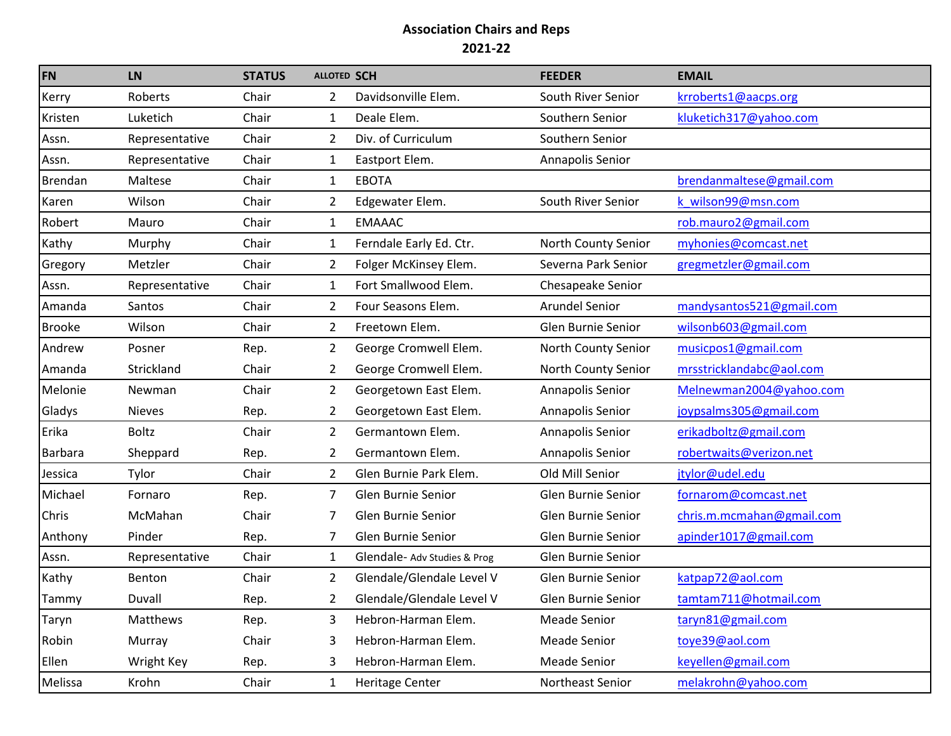| <b>FN</b>      | <b>LN</b>       | <b>STATUS</b> | <b>ALLOTED SCH</b> |                              | <b>FEEDER</b>             | <b>EMAIL</b>              |
|----------------|-----------------|---------------|--------------------|------------------------------|---------------------------|---------------------------|
| Kerry          | Roberts         | Chair         | $\overline{2}$     | Davidsonville Elem.          | South River Senior        | krroberts1@aacps.org      |
| Kristen        | Luketich        | Chair         | $\mathbf{1}$       | Deale Elem.                  | Southern Senior           | kluketich317@yahoo.com    |
| Assn.          | Representative  | Chair         | 2                  | Div. of Curriculum           | Southern Senior           |                           |
| Assn.          | Representative  | Chair         | $\mathbf{1}$       | Eastport Elem.               | Annapolis Senior          |                           |
| <b>Brendan</b> | Maltese         | Chair         | $\mathbf{1}$       | <b>EBOTA</b>                 |                           | brendanmaltese@gmail.com  |
| Karen          | Wilson          | Chair         | $\overline{2}$     | Edgewater Elem.              | South River Senior        | k wilson99@msn.com        |
| Robert         | Mauro           | Chair         | $\mathbf{1}$       | <b>EMAAAC</b>                |                           | rob.mauro2@gmail.com      |
| Kathy          | Murphy          | Chair         | 1                  | Ferndale Early Ed. Ctr.      | North County Senior       | myhonies@comcast.net      |
| Gregory        | Metzler         | Chair         | 2                  | Folger McKinsey Elem.        | Severna Park Senior       | gregmetzler@gmail.com     |
| Assn.          | Representative  | Chair         | $\mathbf{1}$       | Fort Smallwood Elem.         | Chesapeake Senior         |                           |
| Amanda         | Santos          | Chair         | $\overline{2}$     | Four Seasons Elem.           | <b>Arundel Senior</b>     | mandysantos521@gmail.com  |
| <b>Brooke</b>  | Wilson          | Chair         | $\overline{2}$     | Freetown Elem.               | Glen Burnie Senior        | wilsonb603@gmail.com      |
| Andrew         | Posner          | Rep.          | $\overline{2}$     | George Cromwell Elem.        | North County Senior       | musicpos1@gmail.com       |
| Amanda         | Strickland      | Chair         | $\overline{2}$     | George Cromwell Elem.        | North County Senior       | mrsstricklandabc@aol.com  |
| Melonie        | Newman          | Chair         | $\overline{2}$     | Georgetown East Elem.        | Annapolis Senior          | Melnewman2004@yahoo.com   |
| Gladys         | <b>Nieves</b>   | Rep.          | $\overline{2}$     | Georgetown East Elem.        | Annapolis Senior          | joypsalms305@gmail.com    |
| Erika          | <b>Boltz</b>    | Chair         | $\overline{2}$     | Germantown Elem.             | Annapolis Senior          | erikadboltz@gmail.com     |
| Barbara        | Sheppard        | Rep.          | 2                  | Germantown Elem.             | Annapolis Senior          | robertwaits@verizon.net   |
| Jessica        | Tylor           | Chair         | $\overline{2}$     | Glen Burnie Park Elem.       | Old Mill Senior           | jtylor@udel.edu           |
| Michael        | Fornaro         | Rep.          | 7                  | Glen Burnie Senior           | Glen Burnie Senior        | fornarom@comcast.net      |
| Chris          | McMahan         | Chair         | 7                  | Glen Burnie Senior           | Glen Burnie Senior        | chris.m.mcmahan@gmail.com |
| Anthony        | Pinder          | Rep.          | 7                  | Glen Burnie Senior           | Glen Burnie Senior        | apinder1017@gmail.com     |
| Assn.          | Representative  | Chair         | $\mathbf{1}$       | Glendale- Adv Studies & Prog | Glen Burnie Senior        |                           |
| Kathy          | Benton          | Chair         | $\overline{2}$     | Glendale/Glendale Level V    | <b>Glen Burnie Senior</b> | katpap72@aol.com          |
| Tammy          | Duvall          | Rep.          | 2                  | Glendale/Glendale Level V    | Glen Burnie Senior        | tamtam711@hotmail.com     |
| Taryn          | <b>Matthews</b> | Rep.          | 3                  | Hebron-Harman Elem.          | Meade Senior              | taryn81@gmail.com         |
| Robin          | Murray          | Chair         | 3                  | Hebron-Harman Elem.          | <b>Meade Senior</b>       | toye39@aol.com            |
| Ellen          | Wright Key      | Rep.          | 3                  | Hebron-Harman Elem.          | <b>Meade Senior</b>       | keyellen@gmail.com        |
| Melissa        | Krohn           | Chair         | $\mathbf{1}$       | Heritage Center              | Northeast Senior          | melakrohn@yahoo.com       |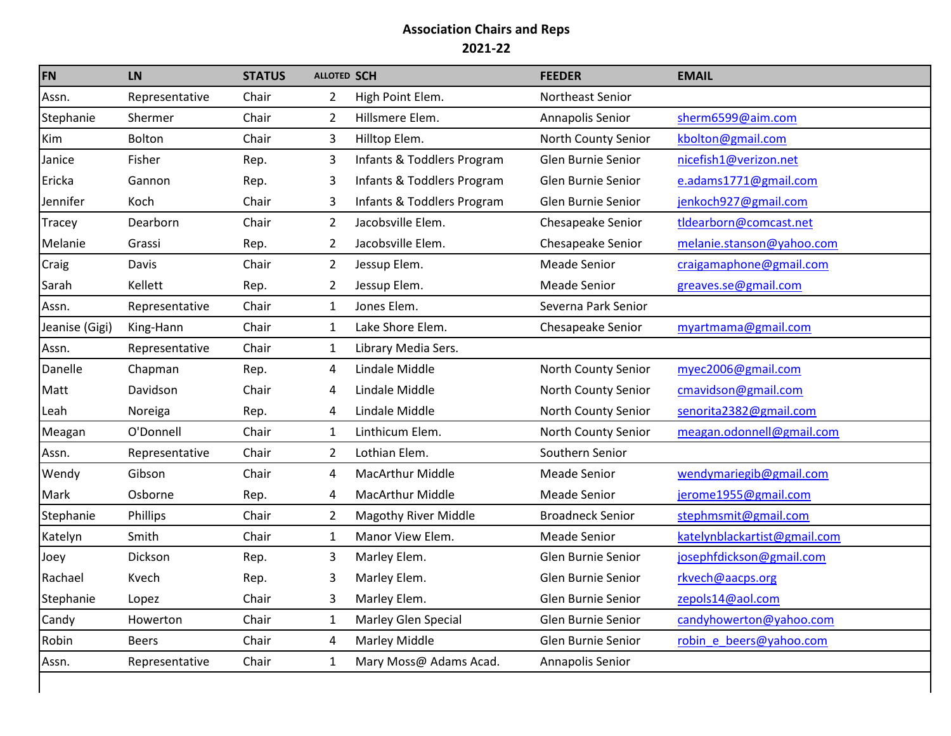| <b>FN</b>      | <b>LN</b>      | <b>STATUS</b> | <b>ALLOTED SCH</b> |                             | <b>FEEDER</b>           | <b>EMAIL</b>                 |
|----------------|----------------|---------------|--------------------|-----------------------------|-------------------------|------------------------------|
| Assn.          | Representative | Chair         | 2                  | High Point Elem.            | Northeast Senior        |                              |
| Stephanie      | Shermer        | Chair         | $\overline{2}$     | Hillsmere Elem.             | Annapolis Senior        | sherm6599@aim.com            |
| Kim            | Bolton         | Chair         | 3                  | Hilltop Elem.               | North County Senior     | kbolton@gmail.com            |
| Janice         | Fisher         | Rep.          | 3                  | Infants & Toddlers Program  | Glen Burnie Senior      | nicefish1@verizon.net        |
| Ericka         | Gannon         | Rep.          | 3                  | Infants & Toddlers Program  | Glen Burnie Senior      | e.adams1771@gmail.com        |
| Jennifer       | Koch           | Chair         | 3                  | Infants & Toddlers Program  | Glen Burnie Senior      | jenkoch927@gmail.com         |
| <b>Tracey</b>  | Dearborn       | Chair         | $\overline{2}$     | Jacobsville Elem.           | Chesapeake Senior       | tldearborn@comcast.net       |
| Melanie        | Grassi         | Rep.          | $\overline{2}$     | Jacobsville Elem.           | Chesapeake Senior       | melanie.stanson@yahoo.com    |
| Craig          | Davis          | Chair         | $\overline{2}$     | Jessup Elem.                | <b>Meade Senior</b>     | craigamaphone@gmail.com      |
| Sarah          | Kellett        | Rep.          | $\overline{2}$     | Jessup Elem.                | <b>Meade Senior</b>     | greaves.se@gmail.com         |
| Assn.          | Representative | Chair         | $\mathbf{1}$       | Jones Elem.                 | Severna Park Senior     |                              |
| Jeanise (Gigi) | King-Hann      | Chair         | $\mathbf{1}$       | Lake Shore Elem.            | Chesapeake Senior       | myartmama@gmail.com          |
| Assn.          | Representative | Chair         | $\mathbf{1}$       | Library Media Sers.         |                         |                              |
| Danelle        | Chapman        | Rep.          | 4                  | Lindale Middle              | North County Senior     | myec2006@gmail.com           |
| Matt           | Davidson       | Chair         | 4                  | Lindale Middle              | North County Senior     | cmavidson@gmail.com          |
| Leah           | Noreiga        | Rep.          | 4                  | Lindale Middle              | North County Senior     | senorita2382@gmail.com       |
| Meagan         | O'Donnell      | Chair         | $\mathbf{1}$       | Linthicum Elem.             | North County Senior     | meagan.odonnell@gmail.com    |
| Assn.          | Representative | Chair         | $\overline{2}$     | Lothian Elem.               | Southern Senior         |                              |
| Wendy          | Gibson         | Chair         | 4                  | <b>MacArthur Middle</b>     | <b>Meade Senior</b>     | wendymariegib@gmail.com      |
| Mark           | Osborne        | Rep.          | 4                  | <b>MacArthur Middle</b>     | <b>Meade Senior</b>     | jerome1955@gmail.com         |
| Stephanie      | Phillips       | Chair         | $\overline{2}$     | <b>Magothy River Middle</b> | <b>Broadneck Senior</b> | stephmsmit@gmail.com         |
| Katelyn        | Smith          | Chair         | $\mathbf{1}$       | Manor View Elem.            | <b>Meade Senior</b>     | katelynblackartist@gmail.com |
| Joey           | Dickson        | Rep.          | 3                  | Marley Elem.                | Glen Burnie Senior      | josephfdickson@gmail.com     |
| Rachael        | Kvech          | Rep.          | 3                  | Marley Elem.                | Glen Burnie Senior      | rkvech@aacps.org             |
| Stephanie      | Lopez          | Chair         | 3                  | Marley Elem.                | Glen Burnie Senior      | zepols14@aol.com             |
| Candy          | Howerton       | Chair         | $\mathbf{1}$       | Marley Glen Special         | Glen Burnie Senior      | candyhowerton@yahoo.com      |
| Robin          | <b>Beers</b>   | Chair         | 4                  | Marley Middle               | Glen Burnie Senior      | robin e beers@yahoo.com      |
| Assn.          | Representative | Chair         | $\mathbf{1}$       | Mary Moss@ Adams Acad.      | Annapolis Senior        |                              |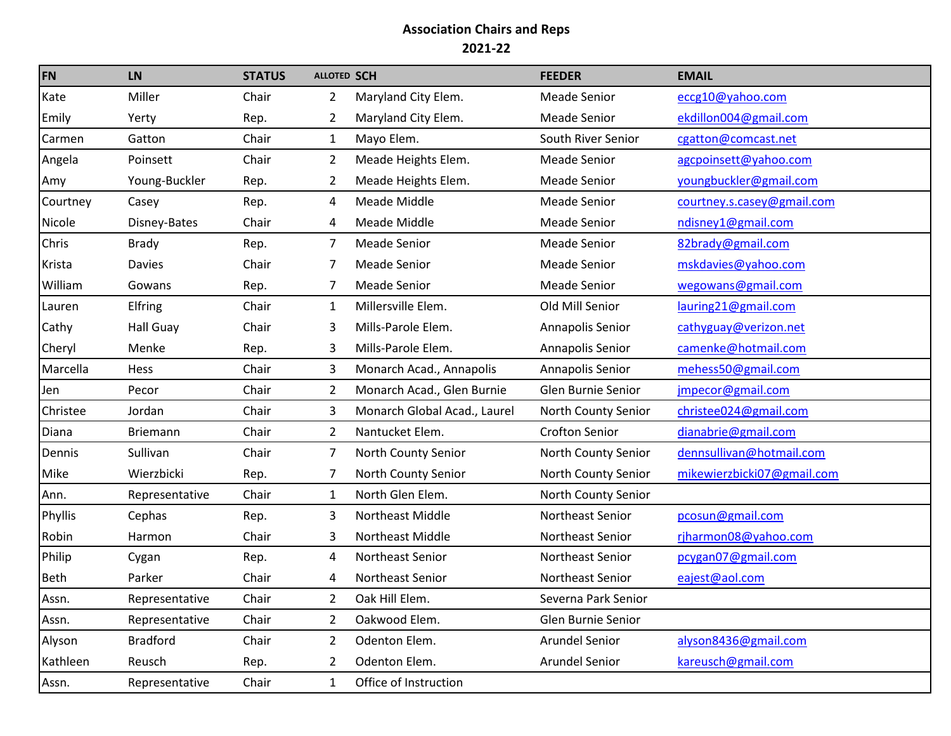| <b>FN</b>   | <b>LN</b>        | <b>STATUS</b> | <b>ALLOTED SCH</b> |                              | <b>FEEDER</b>         | <b>EMAIL</b>               |
|-------------|------------------|---------------|--------------------|------------------------------|-----------------------|----------------------------|
| Kate        | Miller           | Chair         | 2                  | Maryland City Elem.          | <b>Meade Senior</b>   | eccg10@yahoo.com           |
| Emily       | Yerty            | Rep.          | $\overline{2}$     | Maryland City Elem.          | <b>Meade Senior</b>   | ekdillon004@gmail.com      |
| Carmen      | Gatton           | Chair         | $\mathbf{1}$       | Mayo Elem.                   | South River Senior    | cgatton@comcast.net        |
| Angela      | Poinsett         | Chair         | $\overline{2}$     | Meade Heights Elem.          | <b>Meade Senior</b>   | agcpoinsett@yahoo.com      |
| Amy         | Young-Buckler    | Rep.          | 2                  | Meade Heights Elem.          | <b>Meade Senior</b>   | youngbuckler@gmail.com     |
| Courtney    | Casey            | Rep.          | 4                  | Meade Middle                 | <b>Meade Senior</b>   | courtney.s.casey@gmail.com |
| Nicole      | Disney-Bates     | Chair         | 4                  | Meade Middle                 | <b>Meade Senior</b>   | ndisney1@gmail.com         |
| Chris       | <b>Brady</b>     | Rep.          | 7                  | <b>Meade Senior</b>          | <b>Meade Senior</b>   | 82brady@gmail.com          |
| Krista      | <b>Davies</b>    | Chair         | 7                  | <b>Meade Senior</b>          | <b>Meade Senior</b>   | mskdavies@yahoo.com        |
| William     | Gowans           | Rep.          | 7                  | <b>Meade Senior</b>          | <b>Meade Senior</b>   | wegowans@gmail.com         |
| Lauren      | Elfring          | Chair         | $\mathbf{1}$       | Millersville Elem.           | Old Mill Senior       | lauring21@gmail.com        |
| Cathy       | <b>Hall Guay</b> | Chair         | 3                  | Mills-Parole Elem.           | Annapolis Senior      | cathyguay@verizon.net      |
| Cheryl      | Menke            | Rep.          | 3                  | Mills-Parole Elem.           | Annapolis Senior      | camenke@hotmail.com        |
| Marcella    | Hess             | Chair         | 3                  | Monarch Acad., Annapolis     | Annapolis Senior      | mehess50@gmail.com         |
| <b>Jen</b>  | Pecor            | Chair         | 2                  | Monarch Acad., Glen Burnie   | Glen Burnie Senior    | jmpecor@gmail.com          |
| Christee    | Jordan           | Chair         | 3                  | Monarch Global Acad., Laurel | North County Senior   | christee024@gmail.com      |
| Diana       | <b>Briemann</b>  | Chair         | 2                  | Nantucket Elem.              | <b>Crofton Senior</b> | dianabrie@gmail.com        |
| Dennis      | Sullivan         | Chair         | 7                  | North County Senior          | North County Senior   | dennsullivan@hotmail.com   |
| Mike        | Wierzbicki       | Rep.          | 7                  | North County Senior          | North County Senior   | mikewierzbicki07@gmail.com |
| Ann.        | Representative   | Chair         | $\mathbf{1}$       | North Glen Elem.             | North County Senior   |                            |
| Phyllis     | Cephas           | Rep.          | 3                  | Northeast Middle             | Northeast Senior      | pcosun@gmail.com           |
| Robin       | Harmon           | Chair         | 3                  | Northeast Middle             | Northeast Senior      | rjharmon08@yahoo.com       |
| Philip      | Cygan            | Rep.          | 4                  | Northeast Senior             | Northeast Senior      | pcygan07@gmail.com         |
| <b>Beth</b> | Parker           | Chair         | 4                  | Northeast Senior             | Northeast Senior      | eajest@aol.com             |
| Assn.       | Representative   | Chair         | 2                  | Oak Hill Elem.               | Severna Park Senior   |                            |
| Assn.       | Representative   | Chair         | 2                  | Oakwood Elem.                | Glen Burnie Senior    |                            |
| Alyson      | <b>Bradford</b>  | Chair         | 2                  | Odenton Elem.                | <b>Arundel Senior</b> | alyson8436@gmail.com       |
| Kathleen    | Reusch           | Rep.          | 2                  | Odenton Elem.                | Arundel Senior        | kareusch@gmail.com         |
| Assn.       | Representative   | Chair         | $\mathbf{1}$       | Office of Instruction        |                       |                            |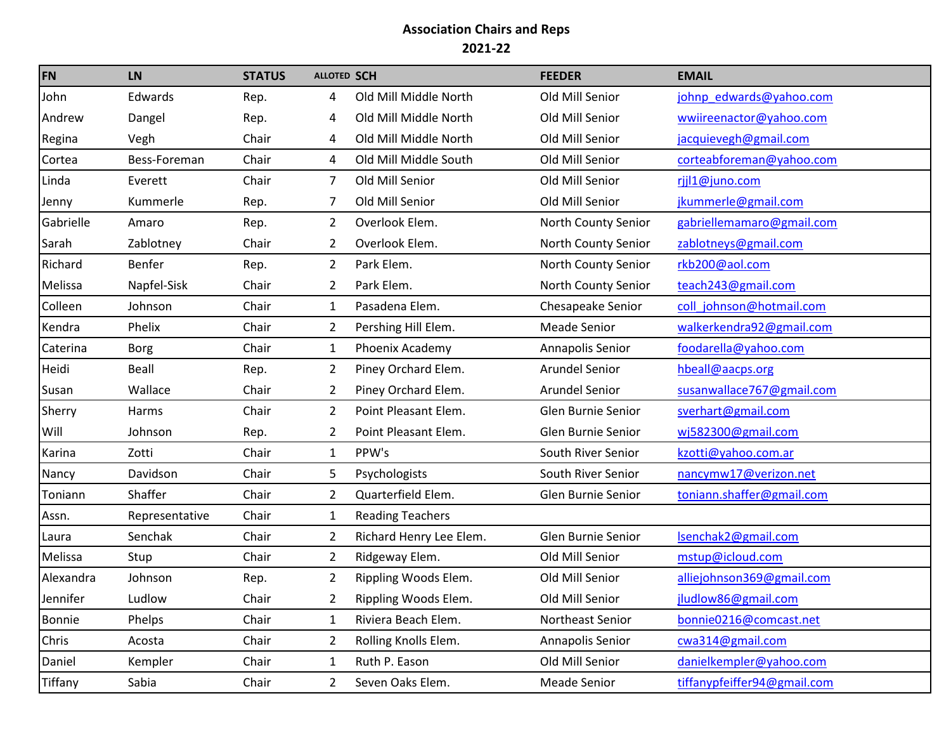| <b>FN</b>     | <b>LN</b>      | <b>STATUS</b> | <b>ALLOTED SCH</b> |                         | <b>FEEDER</b>         | <b>EMAIL</b>                |
|---------------|----------------|---------------|--------------------|-------------------------|-----------------------|-----------------------------|
| John          | Edwards        | Rep.          | 4                  | Old Mill Middle North   | Old Mill Senior       | johnp edwards@yahoo.com     |
| Andrew        | Dangel         | Rep.          | 4                  | Old Mill Middle North   | Old Mill Senior       | wwiireenactor@yahoo.com     |
| Regina        | Vegh           | Chair         | 4                  | Old Mill Middle North   | Old Mill Senior       | jacquievegh@gmail.com       |
| Cortea        | Bess-Foreman   | Chair         | 4                  | Old Mill Middle South   | Old Mill Senior       | corteabforeman@yahoo.com    |
| Linda         | Everett        | Chair         | $\overline{7}$     | Old Mill Senior         | Old Mill Senior       | rjjl1@juno.com              |
| Jenny         | Kummerle       | Rep.          | 7                  | Old Mill Senior         | Old Mill Senior       | jkummerle@gmail.com         |
| Gabrielle     | Amaro          | Rep.          | $\mathbf{2}$       | Overlook Elem.          | North County Senior   | gabriellemamaro@gmail.com   |
| Sarah         | Zablotney      | Chair         | $\mathbf{2}$       | Overlook Elem.          | North County Senior   | zablotneys@gmail.com        |
| Richard       | Benfer         | Rep.          | 2                  | Park Elem.              | North County Senior   | rkb200@aol.com              |
| Melissa       | Napfel-Sisk    | Chair         | 2                  | Park Elem.              | North County Senior   | teach243@gmail.com          |
| Colleen       | Johnson        | Chair         | $\mathbf{1}$       | Pasadena Elem.          | Chesapeake Senior     | coll johnson@hotmail.com    |
| Kendra        | Phelix         | Chair         | $\overline{2}$     | Pershing Hill Elem.     | <b>Meade Senior</b>   | walkerkendra92@gmail.com    |
| Caterina      | Borg           | Chair         | $\mathbf{1}$       | Phoenix Academy         | Annapolis Senior      | foodarella@yahoo.com        |
| Heidi         | Beall          | Rep.          | $\overline{2}$     | Piney Orchard Elem.     | <b>Arundel Senior</b> | hbeall@aacps.org            |
| Susan         | Wallace        | Chair         | 2                  | Piney Orchard Elem.     | <b>Arundel Senior</b> | susanwallace767@gmail.com   |
| Sherry        | Harms          | Chair         | $\overline{2}$     | Point Pleasant Elem.    | Glen Burnie Senior    | sverhart@gmail.com          |
| Will          | Johnson        | Rep.          | 2                  | Point Pleasant Elem.    | Glen Burnie Senior    | wj582300@gmail.com          |
| Karina        | Zotti          | Chair         | $\mathbf{1}$       | PPW's                   | South River Senior    | kzotti@yahoo.com.ar         |
| Nancy         | Davidson       | Chair         | 5                  | Psychologists           | South River Senior    | nancymw17@verizon.net       |
| Toniann       | Shaffer        | Chair         | $\overline{2}$     | Quarterfield Elem.      | Glen Burnie Senior    | toniann.shaffer@gmail.com   |
| Assn.         | Representative | Chair         | $\mathbf{1}$       | <b>Reading Teachers</b> |                       |                             |
| Laura         | Senchak        | Chair         | $\overline{2}$     | Richard Henry Lee Elem. | Glen Burnie Senior    | Isenchak2@gmail.com         |
| Melissa       | Stup           | Chair         | $\overline{2}$     | Ridgeway Elem.          | Old Mill Senior       | mstup@icloud.com            |
| Alexandra     | Johnson        | Rep.          | $\overline{2}$     | Rippling Woods Elem.    | Old Mill Senior       | alliejohnson369@gmail.com   |
| Jennifer      | Ludlow         | Chair         | $\mathbf{2}$       | Rippling Woods Elem.    | Old Mill Senior       | jludlow86@gmail.com         |
| <b>Bonnie</b> | Phelps         | Chair         | $\mathbf{1}$       | Riviera Beach Elem.     | Northeast Senior      | bonnie0216@comcast.net      |
| Chris         | Acosta         | Chair         | $\mathbf{2}$       | Rolling Knolls Elem.    | Annapolis Senior      | cwa314@gmail.com            |
| Daniel        | Kempler        | Chair         | $\mathbf{1}$       | Ruth P. Eason           | Old Mill Senior       | danielkempler@yahoo.com     |
| Tiffany       | Sabia          | Chair         | $\overline{2}$     | Seven Oaks Elem.        | Meade Senior          | tiffanypfeiffer94@gmail.com |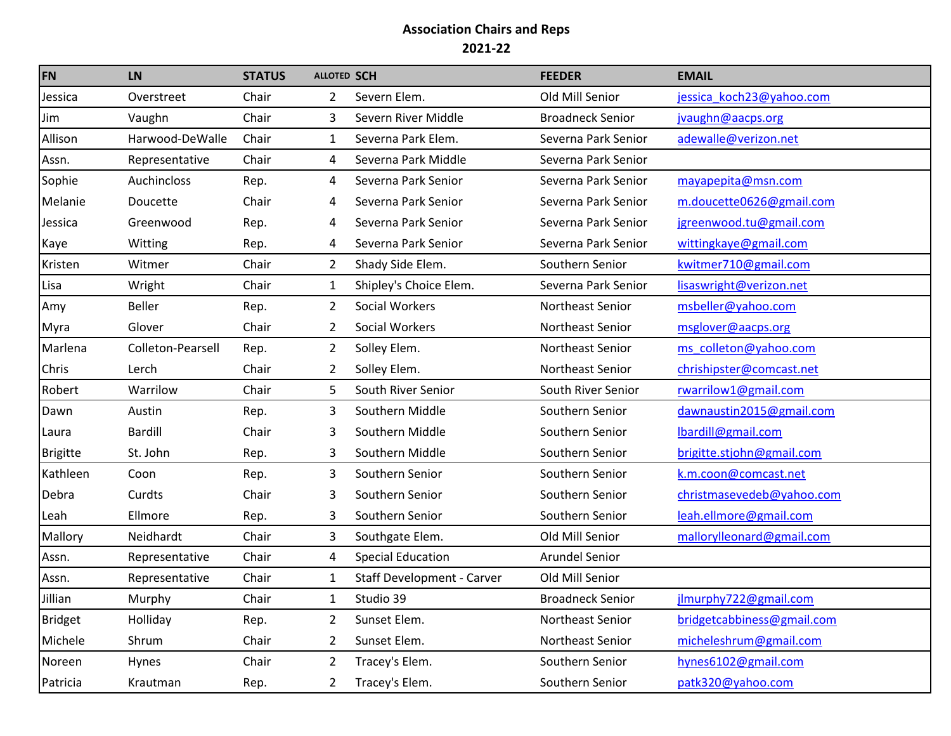| <b>FN</b>       | <b>LN</b>         | <b>STATUS</b> | <b>ALLOTED SCH</b> |                                   | <b>FEEDER</b>           | <b>EMAIL</b>               |
|-----------------|-------------------|---------------|--------------------|-----------------------------------|-------------------------|----------------------------|
| Jessica         | Overstreet        | Chair         | $\overline{2}$     | Severn Elem.                      | Old Mill Senior         | jessica koch23@yahoo.com   |
| Jim             | Vaughn            | Chair         | 3                  | Severn River Middle               | <b>Broadneck Senior</b> | jvaughn@aacps.org          |
| Allison         | Harwood-DeWalle   | Chair         | 1                  | Severna Park Elem.                | Severna Park Senior     | adewalle@verizon.net       |
| Assn.           | Representative    | Chair         | 4                  | Severna Park Middle               | Severna Park Senior     |                            |
| Sophie          | Auchincloss       | Rep.          | 4                  | Severna Park Senior               | Severna Park Senior     | mayapepita@msn.com         |
| Melanie         | Doucette          | Chair         | 4                  | Severna Park Senior               | Severna Park Senior     | m.doucette0626@gmail.com   |
| Jessica         | Greenwood         | Rep.          | 4                  | Severna Park Senior               | Severna Park Senior     | jgreenwood.tu@gmail.com    |
| Kaye            | Witting           | Rep.          | 4                  | Severna Park Senior               | Severna Park Senior     | wittingkaye@gmail.com      |
| Kristen         | Witmer            | Chair         | $\overline{2}$     | Shady Side Elem.                  | Southern Senior         | kwitmer710@gmail.com       |
| Lisa            | Wright            | Chair         | $\mathbf{1}$       | Shipley's Choice Elem.            | Severna Park Senior     | lisaswright@verizon.net    |
| Amy             | Beller            | Rep.          | $\overline{2}$     | Social Workers                    | Northeast Senior        | msbeller@yahoo.com         |
| Myra            | Glover            | Chair         | 2                  | Social Workers                    | Northeast Senior        | msglover@aacps.org         |
| Marlena         | Colleton-Pearsell | Rep.          | $\overline{2}$     | Solley Elem.                      | Northeast Senior        | ms colleton@yahoo.com      |
| Chris           | Lerch             | Chair         | 2                  | Solley Elem.                      | Northeast Senior        | chrishipster@comcast.net   |
| Robert          | Warrilow          | Chair         | 5                  | South River Senior                | South River Senior      | rwarrilow1@gmail.com       |
| Dawn            | Austin            | Rep.          | 3                  | Southern Middle                   | Southern Senior         | dawnaustin2015@gmail.com   |
| Laura           | <b>Bardill</b>    | Chair         | 3                  | Southern Middle                   | Southern Senior         | lbardill@gmail.com         |
| <b>Brigitte</b> | St. John          | Rep.          | 3                  | Southern Middle                   | Southern Senior         | brigitte.stjohn@gmail.com  |
| Kathleen        | Coon              | Rep.          | 3                  | Southern Senior                   | Southern Senior         | k.m.coon@comcast.net       |
| Debra           | Curdts            | Chair         | 3                  | Southern Senior                   | Southern Senior         | christmasevedeb@yahoo.com  |
| Leah            | Ellmore           | Rep.          | 3                  | Southern Senior                   | Southern Senior         | leah.ellmore@gmail.com     |
| Mallory         | Neidhardt         | Chair         | 3                  | Southgate Elem.                   | Old Mill Senior         | mallorylleonard@gmail.com  |
| Assn.           | Representative    | Chair         | 4                  | <b>Special Education</b>          | <b>Arundel Senior</b>   |                            |
| Assn.           | Representative    | Chair         | 1                  | <b>Staff Development - Carver</b> | Old Mill Senior         |                            |
| Jillian         | Murphy            | Chair         |                    | Studio 39                         | <b>Broadneck Senior</b> | jlmurphy722@gmail.com      |
| <b>Bridget</b>  | Holliday          | Rep.          | 2                  | Sunset Elem.                      | Northeast Senior        | bridgetcabbiness@gmail.com |
| Michele         | Shrum             | Chair         | 2                  | Sunset Elem.                      | Northeast Senior        | micheleshrum@gmail.com     |
| Noreen          | Hynes             | Chair         | 2                  | Tracey's Elem.                    | Southern Senior         | hynes6102@gmail.com        |
| Patricia        | Krautman          | Rep.          | 2                  | Tracey's Elem.                    | Southern Senior         | patk320@yahoo.com          |